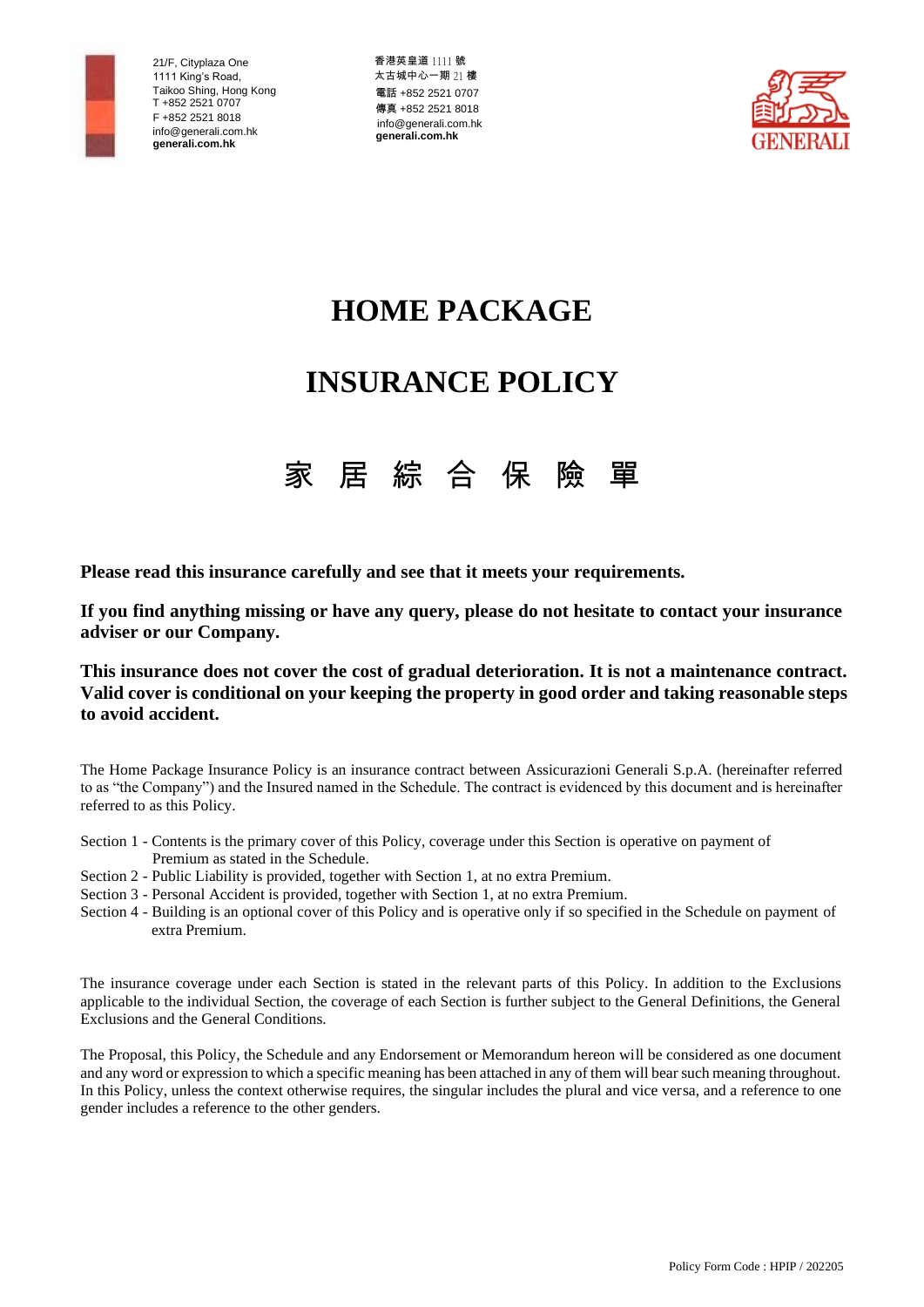

香港英皇道 1111 號 太古城中心一期 21 樓 電話 +852 2521 0707 傳真 +852 2521 8018 [info@generali.com.hk](mailto:info@generali.com.hk) **generali.com.hk**



# **HOME PACKAGE**

# **INSURANCE POLICY**



**Please read this insurance carefully and see that it meets your requirements.**

**If you find anything missing or have any query, please do not hesitate to contact your insurance adviser or our Company.**

**This insurance does not cover the cost of gradual deterioration. It is not a maintenance contract. Valid cover is conditional on your keeping the property in good order and taking reasonable steps to avoid accident.**

The Home Package Insurance Policy is an insurance contract between Assicurazioni Generali S.p.A. (hereinafter referred to as "the Company") and the Insured named in the Schedule. The contract is evidenced by this document and is hereinafter referred to as this Policy.

- Section 1 Contents is the primary cover of this Policy, coverage under this Section is operative on payment of Premium as stated in the Schedule.
- Section 2 Public Liability is provided, together with Section 1, at no extra Premium.
- Section 3 Personal Accident is provided, together with Section 1, at no extra Premium.
- Section 4 Building is an optional cover of this Policy and is operative only if so specified in the Schedule on payment of extra Premium.

The insurance coverage under each Section is stated in the relevant parts of this Policy. In addition to the Exclusions applicable to the individual Section, the coverage of each Section is further subject to the General Definitions, the General Exclusions and the General Conditions.

The Proposal, this Policy, the Schedule and any Endorsement or Memorandum hereon will be considered as one document and any word or expression to which a specific meaning has been attached in any of them will bear such meaning throughout. In this Policy, unless the context otherwise requires, the singular includes the plural and vice versa, and a reference to one gender includes a reference to the other genders.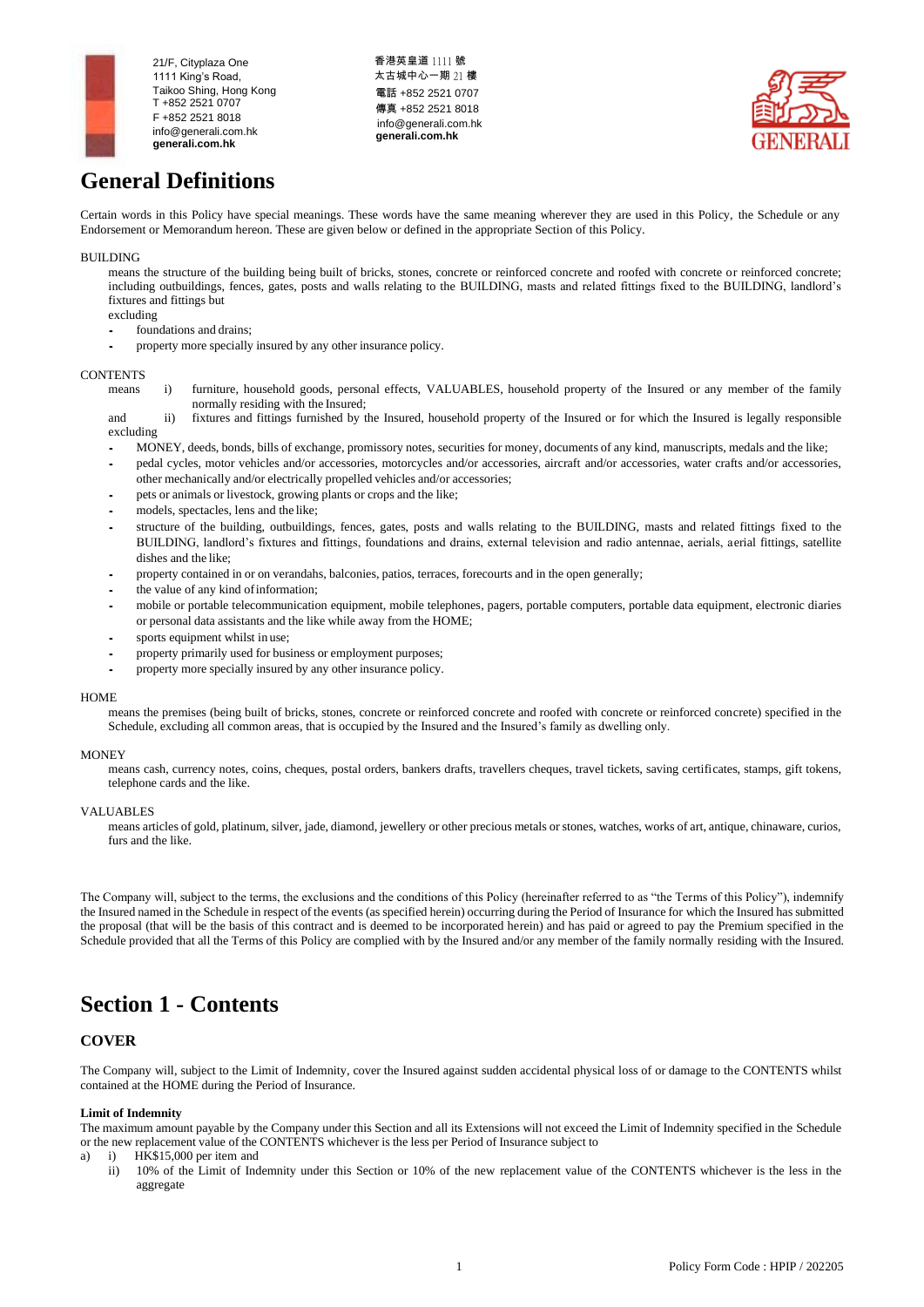

### 香港英皇道 1111 號 太古城中心一期 21 樓 電話 +852 2521 0707 傳真 +852 2521 8018 [info@generali.com.hk](mailto:info@generali.com.hk) **generali.com.hk**



## **General Definitions**

Certain words in this Policy have special meanings. These words have the same meaning wherever they are used in this Policy, the Schedule or any Endorsement or Memorandum hereon. These are given below or defined in the appropriate Section of this Policy.

## BUILDING

means the structure of the building being built of bricks, stones, concrete or reinforced concrete and roofed with concrete or reinforced concrete; including outbuildings, fences, gates, posts and walls relating to the BUILDING, masts and related fittings fixed to the BUILDING, landlord's fixtures and fittings but

excluding

- foundations and drains;
- property more specially insured by any other insurance policy.

## **CONTENTS**

- means i) furniture, household goods, personal effects, VALUABLES, household property of the Insured or any member of the family normally residing with the Insured;
- and ii) fixtures and fittings furnished by the Insured, household property of the Insured or for which the Insured is legally responsible excluding
- MONEY, deeds, bonds, bills of exchange, promissory notes, securities for money, documents of any kind, manuscripts, medals and the like;
- pedal cycles, motor vehicles and/or accessories, motorcycles and/or accessories, aircraft and/or accessories, water crafts and/or accessories, other mechanically and/or electrically propelled vehicles and/or accessories;
- pets or animals or livestock, growing plants or crops and the like;
- models, spectacles, lens and the like;
- structure of the building, outbuildings, fences, gates, posts and walls relating to the BUILDING, masts and related fittings fixed to the BUILDING, landlord's fixtures and fittings, foundations and drains, external television and radio antennae, aerials, aerial fittings, satellite dishes and the like;
- property contained in or on verandahs, balconies, patios, terraces, forecourts and in the open generally;
- the value of any kind ofinformation;
- mobile or portable telecommunication equipment, mobile telephones, pagers, portable computers, portable data equipment, electronic diaries or personal data assistants and the like while away from the HOME;
- sports equipment whilst in use;
- property primarily used for business or employment purposes;
- property more specially insured by any other insurance policy.

#### **HOME**

means the premises (being built of bricks, stones, concrete or reinforced concrete and roofed with concrete or reinforced concrete) specified in the Schedule, excluding all common areas, that is occupied by the Insured and the Insured's family as dwelling only.

#### **MONEY**

means cash, currency notes, coins, cheques, postal orders, bankers drafts, travellers cheques, travel tickets, saving certificates, stamps, gift tokens, telephone cards and the like.

#### VALUABLES

means articles of gold, platinum, silver, jade, diamond, jewellery or other precious metals or stones, watches, works of art, antique, chinaware, curios, furs and the like.

The Company will, subject to the terms, the exclusions and the conditions of this Policy (hereinafter referred to as "the Terms of this Policy"), indemnify the Insured named in the Schedule in respect of the events (as specified herein) occurring during the Period of Insurance for which the Insured has submitted the proposal (that will be the basis of this contract and is deemed to be incorporated herein) and has paid or agreed to pay the Premium specified in the Schedule provided that all the Terms of this Policy are complied with by the Insured and/or any member of the family normally residing with the Insured.

## **Section 1 - Contents**

## **COVER**

The Company will, subject to the Limit of Indemnity, cover the Insured against sudden accidental physical loss of or damage to the CONTENTS whilst contained at the HOME during the Period of Insurance.

#### **Limit of Indemnity**

The maximum amount payable by the Company under this Section and all its Extensions will not exceed the Limit of Indemnity specified in the Schedule or the new replacement value of the CONTENTS whichever is the less per Period of Insurance subject to

- a) i) HK\$15,000 per item and
	- ii) 10% of the Limit of Indemnity under this Section or 10% of the new replacement value of the CONTENTS whichever is the less in the aggregate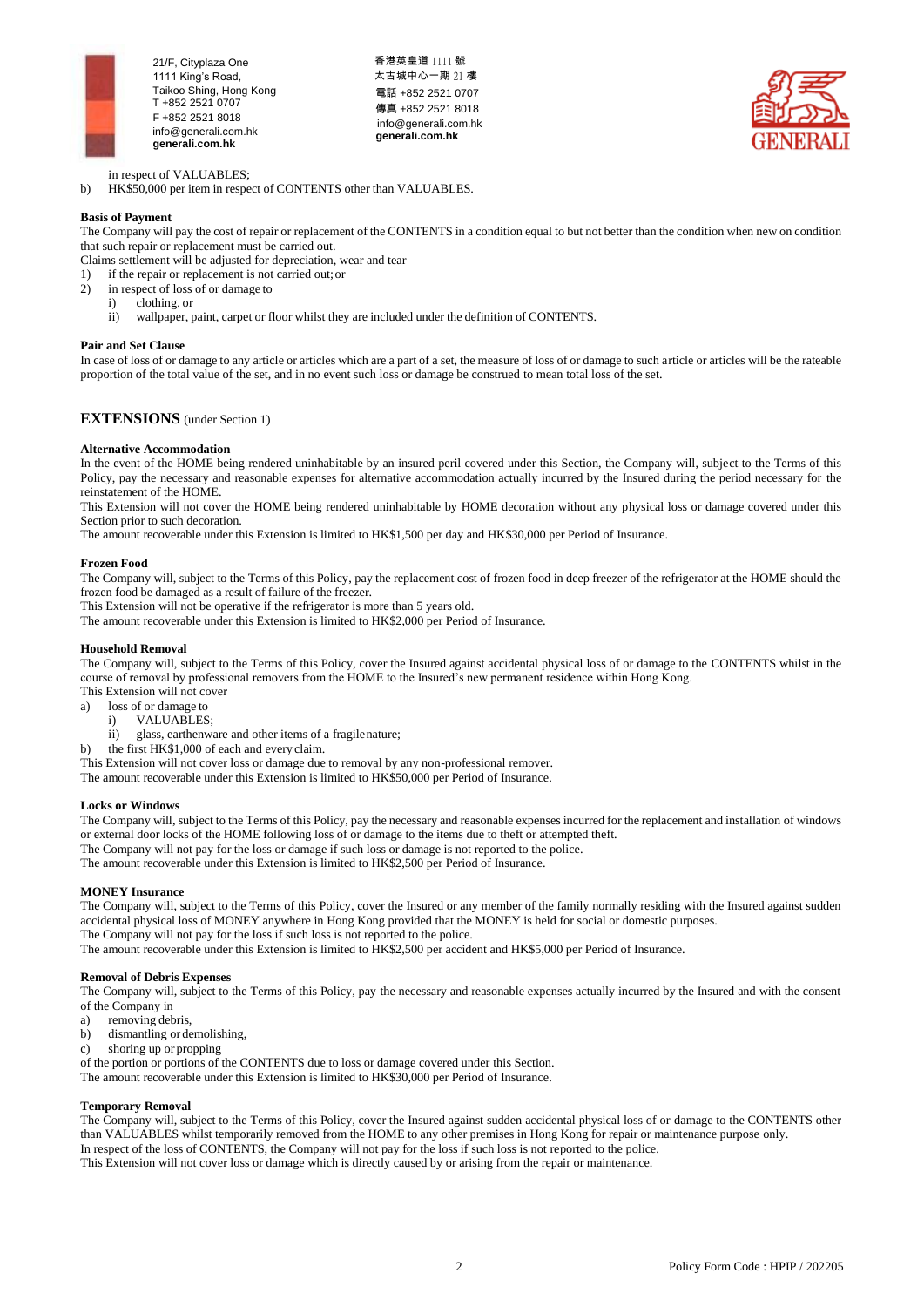

香港英皇道 1111 號 太古城中心一期 21 樓 電話 +852 2521 0707 傳真 +852 2521 8018 [info@generali.com.hk](mailto:info@generali.com.hk) **generali.com.hk**



in respect of VALUABLES;

b) HK\$50,000 per item in respect of CONTENTS other than VALUABLES.

## **Basis of Payment**

The Company will pay the cost of repair or replacement of the CONTENTS in a condition equal to but not better than the condition when new on condition that such repair or replacement must be carried out.

Claims settlement will be adjusted for depreciation, wear and tear

1) if the repair or replacement is not carried out;or

- 2) in respect of loss of or damage to
	- i) clothing, or
	- ii) wallpaper, paint, carpet or floor whilst they are included under the definition of CONTENTS.

### **Pair and Set Clause**

In case of loss of or damage to any article or articles which are a part of a set, the measure of loss of or damage to such article or articles will be the rateable proportion of the total value of the set, and in no event such loss or damage be construed to mean total loss of the set.

## **EXTENSIONS** (under Section 1)

### **Alternative Accommodation**

In the event of the HOME being rendered uninhabitable by an insured peril covered under this Section, the Company will, subject to the Terms of this Policy, pay the necessary and reasonable expenses for alternative accommodation actually incurred by the Insured during the period necessary for the reinstatement of the HOME.

This Extension will not cover the HOME being rendered uninhabitable by HOME decoration without any physical loss or damage covered under this Section prior to such decoration.

The amount recoverable under this Extension is limited to HK\$1,500 per day and HK\$30,000 per Period of Insurance.

### **Frozen Food**

The Company will, subject to the Terms of this Policy, pay the replacement cost of frozen food in deep freezer of the refrigerator at the HOME should the frozen food be damaged as a result of failure of the freezer.

This Extension will not be operative if the refrigerator is more than 5 years old.

The amount recoverable under this Extension is limited to HK\$2,000 per Period of Insurance.

## **Household Removal**

The Company will, subject to the Terms of this Policy, cover the Insured against accidental physical loss of or damage to the CONTENTS whilst in the course of removal by professional removers from the HOME to the Insured's new permanent residence within Hong Kong. This Extension will not cover

a) loss of or damage to

- i) VALUABLES;
- 
- ii) glass, earthenware and other items of a fragilenature;
- the first HK\$1,000 of each and every claim.

This Extension will not cover loss or damage due to removal by any non-professional remover.

The amount recoverable under this Extension is limited to HK\$50,000 per Period of Insurance.

### **Locks or Windows**

The Company will, subject to the Terms of this Policy, pay the necessary and reasonable expenses incurred for the replacement and installation of windows or external door locks of the HOME following loss of or damage to the items due to theft or attempted theft.

The Company will not pay for the loss or damage if such loss or damage is not reported to the police.

The amount recoverable under this Extension is limited to HK\$2,500 per Period of Insurance.

## **MONEY Insurance**

The Company will, subject to the Terms of this Policy, cover the Insured or any member of the family normally residing with the Insured against sudden accidental physical loss of MONEY anywhere in Hong Kong provided that the MONEY is held for social or domestic purposes.

The Company will not pay for the loss if such loss is not reported to the police.

The amount recoverable under this Extension is limited to HK\$2,500 per accident and HK\$5,000 per Period of Insurance.

## **Removal of Debris Expenses**

The Company will, subject to the Terms of this Policy, pay the necessary and reasonable expenses actually incurred by the Insured and with the consent of the Company in

- a) removing debris,
- b) dismantling or demolishing,
- c) shoring up or propping
- of the portion or portions of the CONTENTS due to loss or damage covered under this Section.

The amount recoverable under this Extension is limited to HK\$30,000 per Period of Insurance.

## **Temporary Removal**

The Company will, subject to the Terms of this Policy, cover the Insured against sudden accidental physical loss of or damage to the CONTENTS other than VALUABLES whilst temporarily removed from the HOME to any other premises in Hong Kong for repair or maintenance purpose only. In respect of the loss of CONTENTS, the Company will not pay for the loss if such loss is not reported to the police. This Extension will not cover loss or damage which is directly caused by or arising from the repair or maintenance.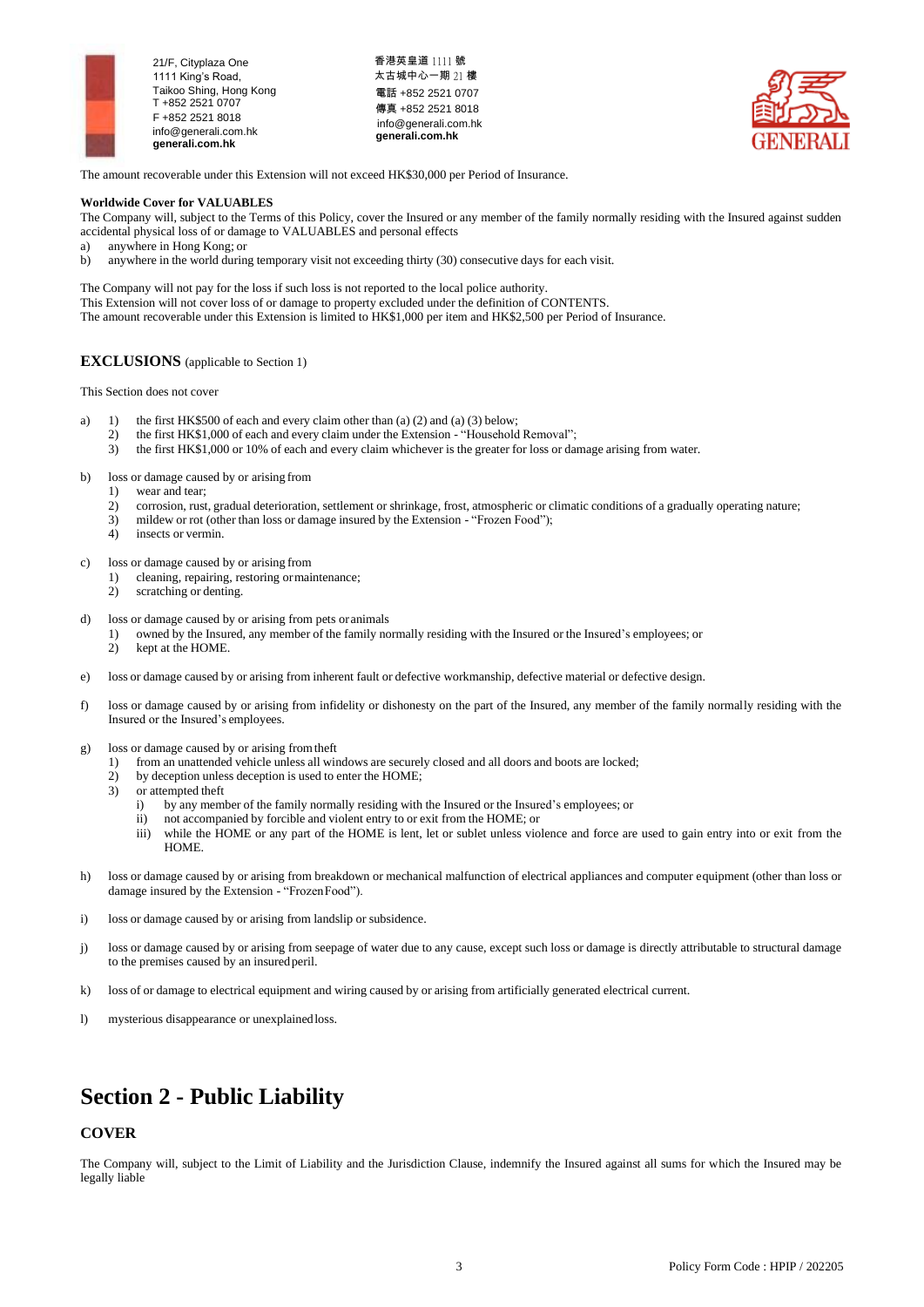

香港英皇道 1111 號 太古城中心一期 21 樓 電話 +852 2521 0707 傳真 +852 2521 8018 [info@generali.com.hk](mailto:info@generali.com.hk) **generali.com.hk**



The amount recoverable under this Extension will not exceed HK\$30,000 per Period of Insurance.

#### **Worldwide Cover for VALUABLES**

The Company will, subject to the Terms of this Policy, cover the Insured or any member of the family normally residing with the Insured against sudden accidental physical loss of or damage to VALUABLES and personal effects

- a) anywhere in Hong Kong; or
- anywhere in the world during temporary visit not exceeding thirty (30) consecutive days for each visit.

The Company will not pay for the loss if such loss is not reported to the local police authority. This Extension will not cover loss of or damage to property excluded under the definition of CONTENTS. The amount recoverable under this Extension is limited to HK\$1,000 per item and HK\$2,500 per Period of Insurance.

## **EXCLUSIONS** (applicable to Section 1)

This Section does not cover

- a) 1) the first HK\$500 of each and every claim other than (a) (2) and (a) (3) below;
	- 2) the first HK\$1,000 of each and every claim under the Extension "Household Removal";<br>3) the first HK\$1,000 or 10% of each and every claim whichever is the greater for loss or date
	- the first HK\$1,000 or 10% of each and every claim whichever is the greater for loss or damage arising from water.

b) loss or damage caused by or arising from

- 1) wear and tear;
- 2) corrosion, rust, gradual deterioration, settlement or shrinkage, frost, atmospheric or climatic conditions of a gradually operating nature;
- 3) mildew or rot (other than loss or damage insured by the Extension "Frozen Food");<br>4) insects or vermin.
- insects or vermin.

c) loss or damage caused by or arising from

- 1) cleaning, repairing, restoring ormaintenance;
- 2) scratching or denting.
- d) loss or damage caused by or arising from pets oranimals
	- 1) owned by the Insured, any member of the family normally residing with the Insured or the Insured's employees; or
	- 2) kept at the HOME.
- e) loss or damage caused by or arising from inherent fault or defective workmanship, defective material or defective design.
- f) loss or damage caused by or arising from infidelity or dishonesty on the part of the Insured, any member of the family normally residing with the Insured or the Insured's employees.
- g) loss or damage caused by or arising fromtheft
	- 1) from an unattended vehicle unless all windows are securely closed and all doors and boots are locked;
	- 2) by deception unless deception is used to enter the HOME;
	- 3) or attempted theft
		- i) by any member of the family normally residing with the Insured or the Insured's employees; or
		- ii) not accompanied by forcible and violent entry to or exit from the HOME; or
		- iii) while the HOME or any part of the HOME is lent, let or sublet unless violence and force are used to gain entry into or exit from the HOME.
- h) loss or damage caused by or arising from breakdown or mechanical malfunction of electrical appliances and computer equipment (other than loss or damage insured by the Extension - "FrozenFood").
- i) loss or damage caused by or arising from landslip or subsidence.
- j) loss or damage caused by or arising from seepage of water due to any cause, except such loss or damage is directly attributable to structural damage to the premises caused by an insuredperil.
- k) loss of or damage to electrical equipment and wiring caused by or arising from artificially generated electrical current.
- l) mysterious disappearance or unexplainedloss.

## **Section 2 - Public Liability**

## **COVER**

The Company will, subject to the Limit of Liability and the Jurisdiction Clause, indemnify the Insured against all sums for which the Insured may be legally liable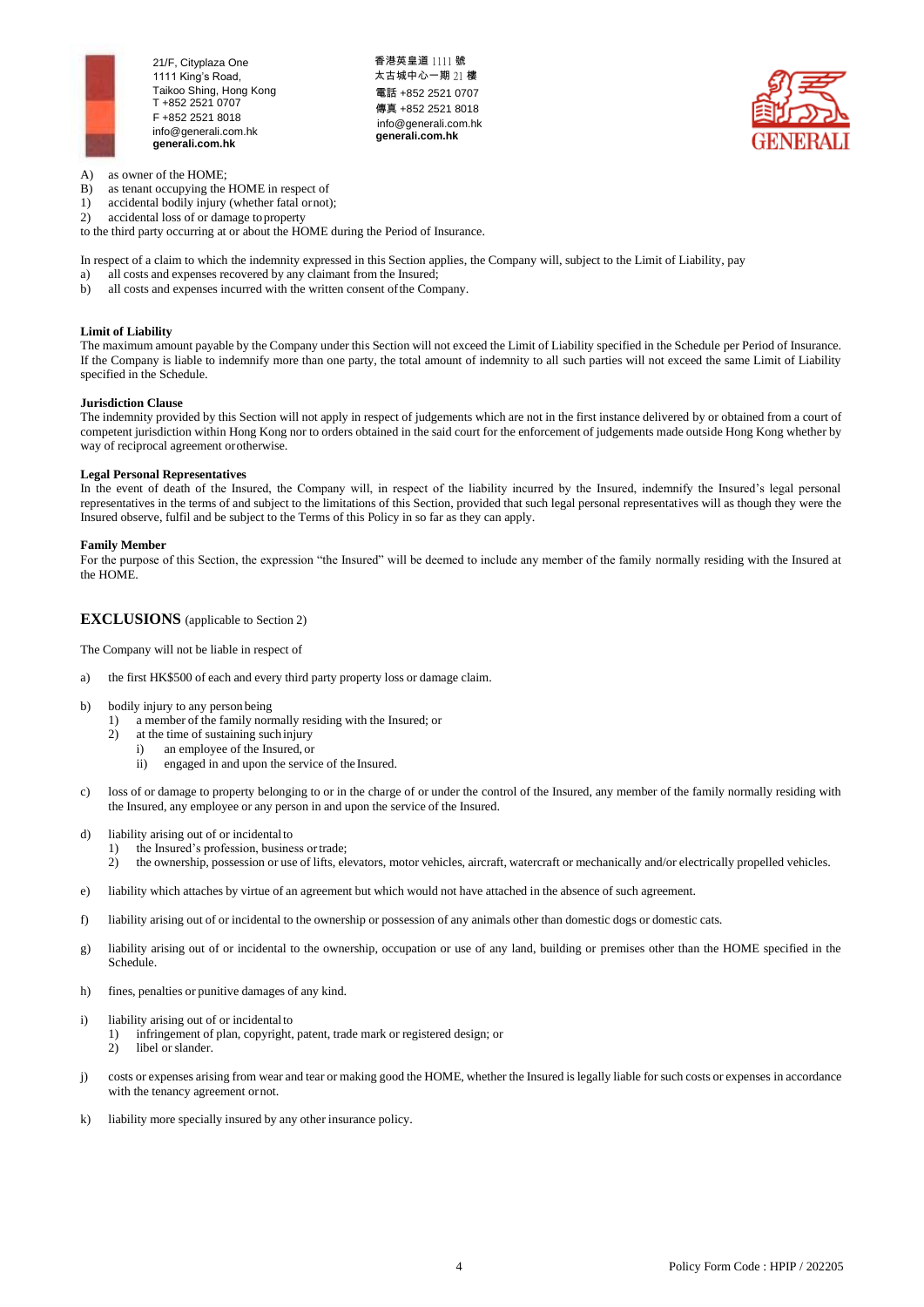

香港英皇道 1111 號 太古城中心一期 21 樓 電話 +852 2521 0707 傳真 +852 2521 8018 [info@generali.com.hk](mailto:info@generali.com.hk) **generali.com.hk**



- A) as owner of the HOME;
- B) as tenant occupying the HOME in respect of
- 1) accidental bodily injury (whether fatal ornot);<br>2) accidental loss of or damage to property
- accidental loss of or damage to property

to the third party occurring at or about the HOME during the Period of Insurance.

In respect of a claim to which the indemnity expressed in this Section applies, the Company will, subject to the Limit of Liability, pay

- a) all costs and expenses recovered by any claimant from the Insured;
- b) all costs and expenses incurred with the written consent ofthe Company.

## **Limit of Liability**

The maximum amount payable by the Company under this Section will not exceed the Limit of Liability specified in the Schedule per Period of Insurance. If the Company is liable to indemnify more than one party, the total amount of indemnity to all such parties will not exceed the same Limit of Liability specified in the Schedule.

#### **Jurisdiction Clause**

The indemnity provided by this Section will not apply in respect of judgements which are not in the first instance delivered by or obtained from a court of competent jurisdiction within Hong Kong nor to orders obtained in the said court for the enforcement of judgements made outside Hong Kong whether by way of reciprocal agreement orotherwise.

## **Legal Personal Representatives**

In the event of death of the Insured, the Company will, in respect of the liability incurred by the Insured, indemnify the Insured's legal personal representatives in the terms of and subject to the limitations of this Section, provided that such legal personal representatives will as though they were the Insured observe, fulfil and be subject to the Terms of this Policy in so far as they can apply.

### **Family Member**

For the purpose of this Section, the expression "the Insured" will be deemed to include any member of the family normally residing with the Insured at the HOME.

## **EXCLUSIONS** (applicable to Section 2)

The Company will not be liable in respect of

- a) the first HK\$500 of each and every third party property loss or damage claim.
- b) bodily injury to any person being
	- 1) a member of the family normally residing with the Insured; or
	- 2) at the time of sustaining such injury
		- i) an employee of the Insured, or
		- ii) engaged in and upon the service of the Insured.
- c) loss of or damage to property belonging to or in the charge of or under the control of the Insured, any member of the family normally residing with the Insured, any employee or any person in and upon the service of the Insured.
- d) liability arising out of or incidentalto
	- 1) the Insured's profession, business ortrade;<br>2) the ownership possession or use of lifts election
	- 2) the ownership, possession or use of lifts, elevators, motor vehicles, aircraft, watercraft or mechanically and/or electrically propelled vehicles.
- e) liability which attaches by virtue of an agreement but which would not have attached in the absence of such agreement.
- f) liability arising out of or incidental to the ownership or possession of any animals other than domestic dogs or domestic cats.
- g) liability arising out of or incidental to the ownership, occupation or use of any land, building or premises other than the HOME specified in the Schedule.
- h) fines, penalties or punitive damages of any kind.
- i) liability arising out of or incidental to
	- 1) infringement of plan, copyright, patent, trade mark or registered design; or
		- 2) libel or slander.
- j) costs or expenses arising from wear and tear or making good the HOME, whether the Insured is legally liable for such costs or expenses in accordance with the tenancy agreement ornot.
- k) liability more specially insured by any other insurance policy.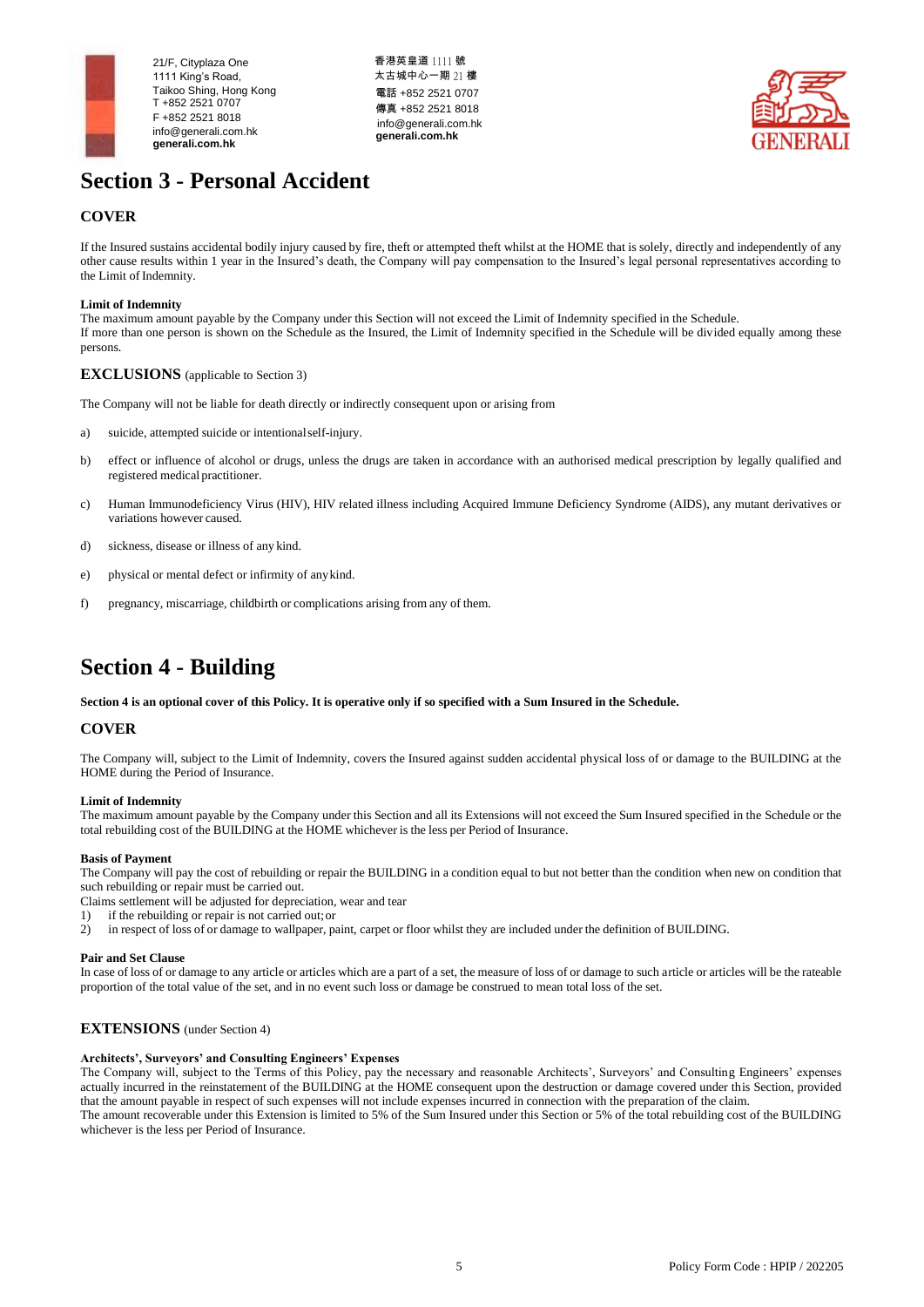

香港英皇道 1111 號 太古城中心一期 21 樓 電話 +852 2521 0707 傳真 +852 2521 8018 [info@generali.com.hk](mailto:info@generali.com.hk) **generali.com.hk**



## **Section 3 - Personal Accident**

## **COVER**

If the Insured sustains accidental bodily injury caused by fire, theft or attempted theft whilst at the HOME that is solely, directly and independently of any other cause results within 1 year in the Insured's death, the Company will pay compensation to the Insured's legal personal representatives according to the Limit of Indemnity.

## **Limit of Indemnity**

The maximum amount payable by the Company under this Section will not exceed the Limit of Indemnity specified in the Schedule. If more than one person is shown on the Schedule as the Insured, the Limit of Indemnity specified in the Schedule will be divided equally among these persons.

## **EXCLUSIONS** (applicable to Section 3)

The Company will not be liable for death directly or indirectly consequent upon or arising from

- a) suicide, attempted suicide or intentionalself-injury.
- b) effect or influence of alcohol or drugs, unless the drugs are taken in accordance with an authorised medical prescription by legally qualified and registered medical practitioner.
- c) Human Immunodeficiency Virus (HIV), HIV related illness including Acquired Immune Deficiency Syndrome (AIDS), any mutant derivatives or variations however caused.
- d) sickness, disease or illness of any kind.
- e) physical or mental defect or infirmity of anykind.
- f) pregnancy, miscarriage, childbirth or complications arising from any of them.

## **Section 4 - Building**

**Section 4 is an optional cover of this Policy. It is operative only if so specified with a Sum Insured in the Schedule.**

## **COVER**

The Company will, subject to the Limit of Indemnity, covers the Insured against sudden accidental physical loss of or damage to the BUILDING at the HOME during the Period of Insurance.

## **Limit of Indemnity**

The maximum amount payable by the Company under this Section and all its Extensions will not exceed the Sum Insured specified in the Schedule or the total rebuilding cost of the BUILDING at the HOME whichever is the less per Period of Insurance.

## **Basis of Payment**

The Company will pay the cost of rebuilding or repair the BUILDING in a condition equal to but not better than the condition when new on condition that such rebuilding or repair must be carried out.

- Claims settlement will be adjusted for depreciation, wear and tear
- 1) if the rebuilding or repair is not carried out;or
- 2) in respect of loss of or damage to wallpaper, paint, carpet or floor whilst they are included under the definition of BUILDING.

### **Pair and Set Clause**

In case of loss of or damage to any article or articles which are a part of a set, the measure of loss of or damage to such article or articles will be the rateable proportion of the total value of the set, and in no event such loss or damage be construed to mean total loss of the set.

## **EXTENSIONS** (under Section 4)

## **Architects', Surveyors' and Consulting Engineers' Expenses**

The Company will, subject to the Terms of this Policy, pay the necessary and reasonable Architects', Surveyors' and Consulting Engineers' expenses actually incurred in the reinstatement of the BUILDING at the HOME consequent upon the destruction or damage covered under this Section, provided that the amount payable in respect of such expenses will not include expenses incurred in connection with the preparation of the claim. The amount recoverable under this Extension is limited to 5% of the Sum Insured under this Section or 5% of the total rebuilding cost of the BUILDING whichever is the less per Period of Insurance.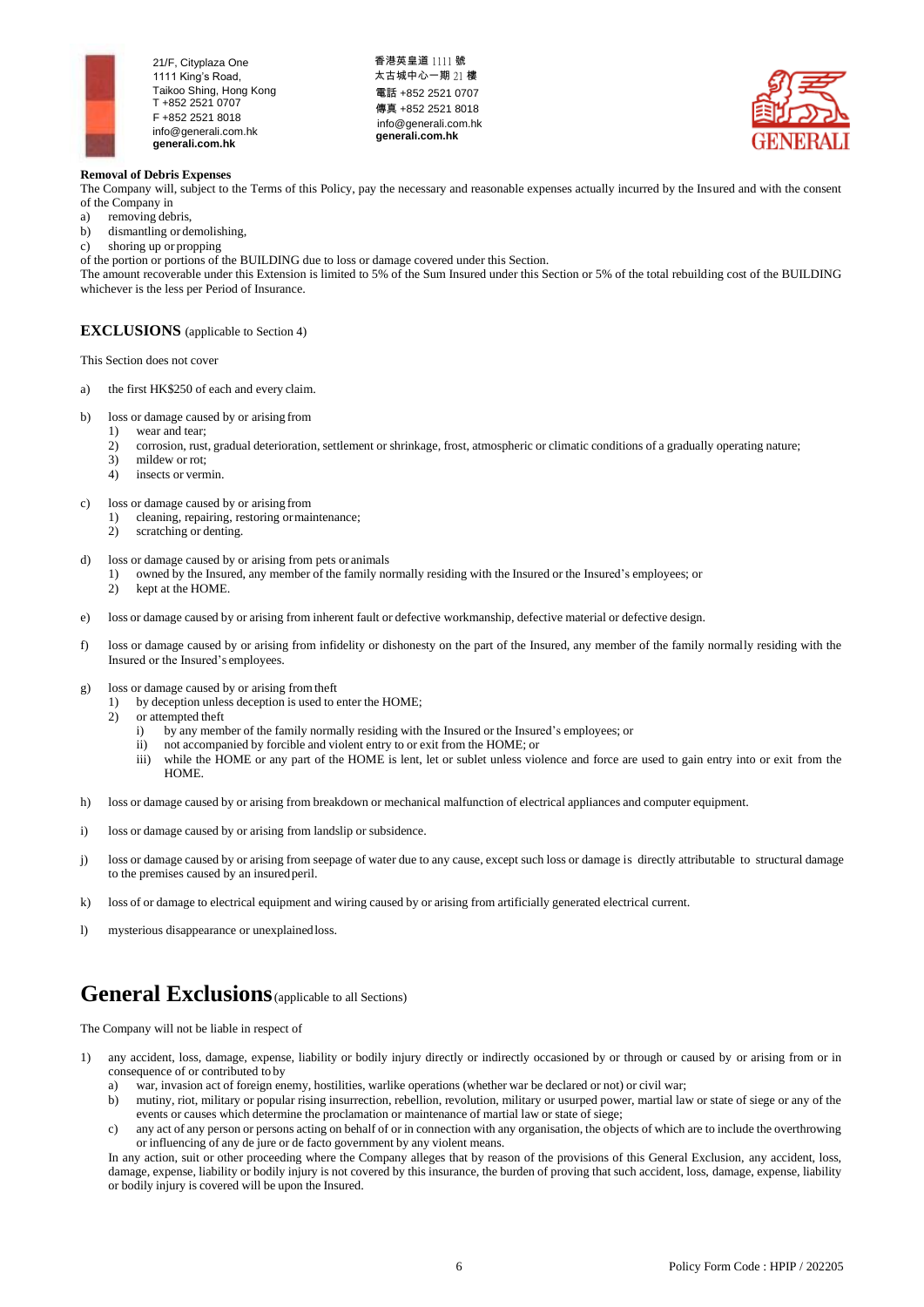

香港英皇道 1111 號 太古城中心一期 21 樓 電話 +852 2521 0707 傳真 +852 2521 8018 [info@generali.com.hk](mailto:info@generali.com.hk) **generali.com.hk**



## **Removal of Debris Expenses**

The Company will, subject to the Terms of this Policy, pay the necessary and reasonable expenses actually incurred by the Insured and with the consent of the Company in

- a) removing debris,<br>b) dismantling or de
- dismantling or demolishing,

c) shoring up or propping

of the portion or portions of the BUILDING due to loss or damage covered under this Section.

The amount recoverable under this Extension is limited to 5% of the Sum Insured under this Section or 5% of the total rebuilding cost of the BUILDING whichever is the less per Period of Insurance.

## **EXCLUSIONS** (applicable to Section 4)

This Section does not cover

- a) the first HK\$250 of each and every claim.
- b) loss or damage caused by or arising from<br>1) wear and tear:
	- 1) wear and tear;<br>2) corrosion. rust
	- 2) corrosion, rust, gradual deterioration, settlement or shrinkage, frost, atmospheric or climatic conditions of a gradually operating nature;
	- 3) mildew or rot;
	- 4) insects or vermin.
- c) loss or damage caused by or arising from
	- 1) cleaning, repairing, restoring ormaintenance;
	- 2) scratching or denting.
- d) loss or damage caused by or arising from pets or animals
	- 1) owned by the Insured, any member of the family normally residing with the Insured or the Insured's employees; or
	- kept at the HOME.
- e) loss or damage caused by or arising from inherent fault or defective workmanship, defective material or defective design.
- f) loss or damage caused by or arising from infidelity or dishonesty on the part of the Insured, any member of the family normally residing with the Insured or the Insured's employees.
- g) loss or damage caused by or arising fromtheft
	- 1) by deception unless deception is used to enter the HOME;
	- 2) or attempted theft
		- i) by any member of the family normally residing with the Insured or the Insured's employees; or
		- ii) not accompanied by forcible and violent entry to or exit from the HOME; or
		- iii) while the HOME or any part of the HOME is lent, let or sublet unless violence and force are used to gain entry into or exit from the HOME.
- h) loss or damage caused by or arising from breakdown or mechanical malfunction of electrical appliances and computer equipment.
- i) loss or damage caused by or arising from landslip or subsidence.
- j) loss or damage caused by or arising from seepage of water due to any cause, except such loss or damage is directly attributable to structural damage to the premises caused by an insuredperil.
- k) loss of or damage to electrical equipment and wiring caused by or arising from artificially generated electrical current.
- l) mysterious disappearance or unexplainedloss.

## **General Exclusions** (applicable to all Sections)

The Company will not be liable in respect of

- 1) any accident, loss, damage, expense, liability or bodily injury directly or indirectly occasioned by or through or caused by or arising from or in consequence of or contributed to by
	- a) war, invasion act of foreign enemy, hostilities, warlike operations (whether war be declared or not) or civil war;
	- b) mutiny, riot, military or popular rising insurrection, rebellion, revolution, military or usurped power, martial law or state of siege or any of the events or causes which determine the proclamation or maintenance of martial law or state of siege;
	- c) any act of any person or persons acting on behalf of or in connection with any organisation, the objects of which are to include the overthrowing or influencing of any de jure or de facto government by any violent means.

In any action, suit or other proceeding where the Company alleges that by reason of the provisions of this General Exclusion, any accident, loss, damage, expense, liability or bodily injury is not covered by this insurance, the burden of proving that such accident, loss, damage, expense, liability or bodily injury is covered will be upon the Insured.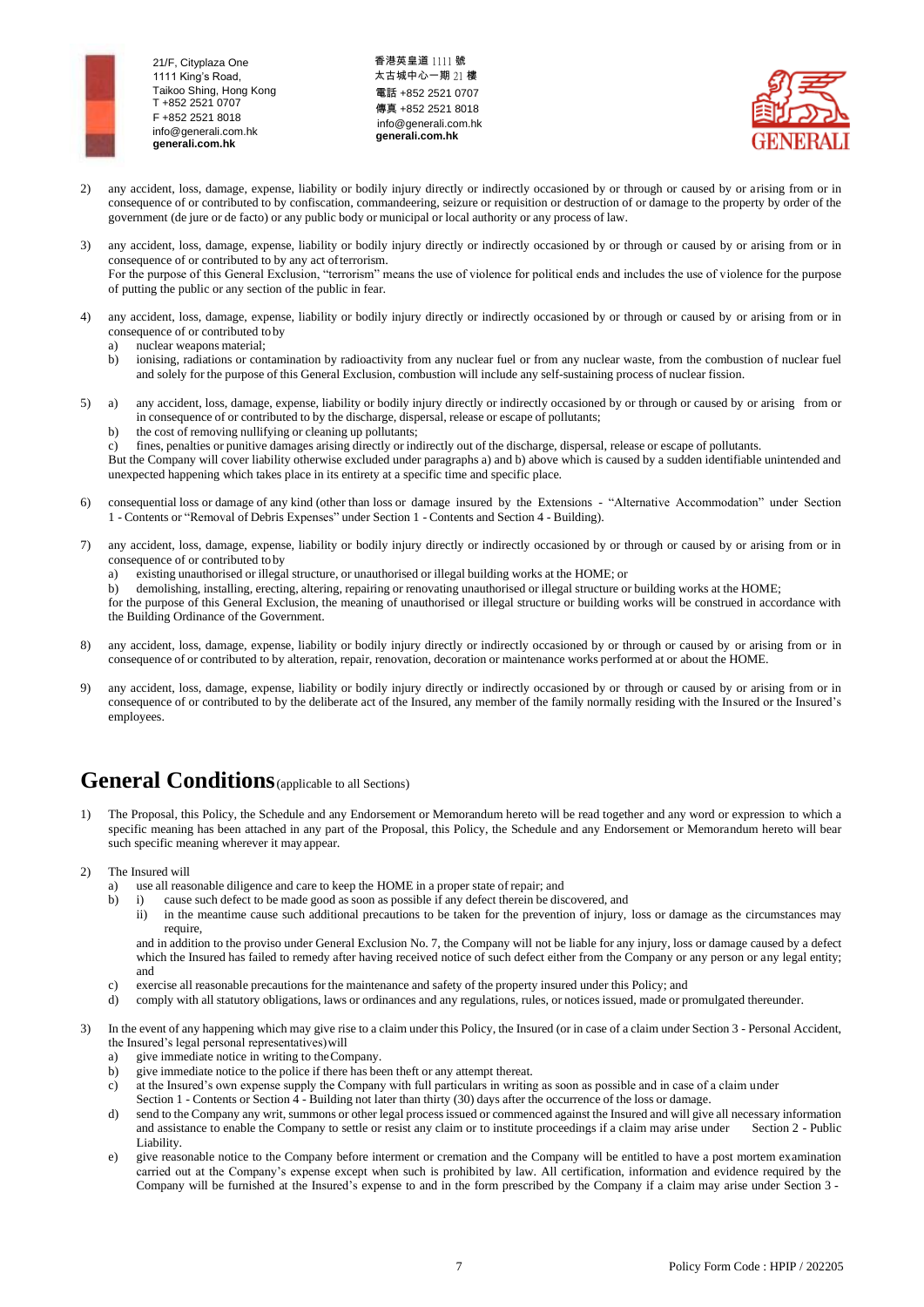香港英皇道 1111 號 太古城中心一期 21 樓 電話 +852 2521 0707 傳真 +852 2521 8018 [info@generali.com.hk](mailto:info@generali.com.hk) **generali.com.hk**



- 2) any accident, loss, damage, expense, liability or bodily injury directly or indirectly occasioned by or through or caused by or arising from or in consequence of or contributed to by confiscation, commandeering, seizure or requisition or destruction of or damage to the property by order of the government (de jure or de facto) or any public body or municipal or local authority or any process of law.
- 3) any accident, loss, damage, expense, liability or bodily injury directly or indirectly occasioned by or through or caused by or arising from or in consequence of or contributed to by any act ofterrorism. For the purpose of this General Exclusion, "terrorism" means the use of violence for political ends and includes the use of violence for the purpose of putting the public or any section of the public in fear.
- 4) any accident, loss, damage, expense, liability or bodily injury directly or indirectly occasioned by or through or caused by or arising from or in consequence of or contributed to by
	- a) nuclear weapons material;
	- b) ionising, radiations or contamination by radioactivity from any nuclear fuel or from any nuclear waste, from the combustion of nuclear fuel and solely for the purpose of this General Exclusion, combustion will include any self-sustaining process of nuclear fission.
- 5) a) any accident, loss, damage, expense, liability or bodily injury directly or indirectly occasioned by or through or caused by or arising from or in consequence of or contributed to by the discharge, dispersal, release or escape of pollutants;
	- b) the cost of removing nullifying or cleaning up pollutants;
	- c) fines, penalties or punitive damages arising directly or indirectly out of the discharge, dispersal, release or escape of pollutants.

But the Company will cover liability otherwise excluded under paragraphs a) and b) above which is caused by a sudden identifiable unintended and unexpected happening which takes place in its entirety at a specific time and specific place.

- 6) consequential loss or damage of any kind (other than loss or damage insured by the Extensions "Alternative Accommodation" under Section 1 - Contents or "Removal of Debris Expenses" under Section 1 - Contents and Section 4 - Building).
- 7) any accident, loss, damage, expense, liability or bodily injury directly or indirectly occasioned by or through or caused by or arising from or in consequence of or contributed to by
	- a) existing unauthorised or illegal structure, or unauthorised or illegal building works at the HOME; or
	- b) demolishing, installing, erecting, altering, repairing or renovating unauthorised or illegal structure or building works at the HOME;

for the purpose of this General Exclusion, the meaning of unauthorised or illegal structure or building works will be construed in accordance with the Building Ordinance of the Government.

- 8) any accident, loss, damage, expense, liability or bodily injury directly or indirectly occasioned by or through or caused by or arising from or in consequence of or contributed to by alteration, repair, renovation, decoration or maintenance works performed at or about the HOME.
- 9) any accident, loss, damage, expense, liability or bodily injury directly or indirectly occasioned by or through or caused by or arising from or in consequence of or contributed to by the deliberate act of the Insured, any member of the family normally residing with the Insured or the Insured's employees.

## General Conditions (applicable to all Sections)

- 1) The Proposal, this Policy, the Schedule and any Endorsement or Memorandum hereto will be read together and any word or expression to which a specific meaning has been attached in any part of the Proposal, this Policy, the Schedule and any Endorsement or Memorandum hereto will bear such specific meaning wherever it may appear.
- 2) The Insured will
	- a) use all reasonable diligence and care to keep the HOME in a proper state of repair; and
	- b) i) cause such defect to be made good as soon as possible if any defect therein be discovered, and
		- ii) in the meantime cause such additional precautions to be taken for the prevention of injury, loss or damage as the circumstances may require,

and in addition to the proviso under General Exclusion No. 7, the Company will not be liable for any injury, loss or damage caused by a defect which the Insured has failed to remedy after having received notice of such defect either from the Company or any person or any legal entity; and

- c) exercise all reasonable precautions for the maintenance and safety of the property insured under this Policy; and
- d) comply with all statutory obligations, laws or ordinances and any regulations, rules, or notices issued, made or promulgated thereunder.
- 3) In the event of any happening which may give rise to a claim under this Policy, the Insured (or in case of a claim under Section 3 Personal Accident, the Insured's legal personal representatives)will
	- a) give immediate notice in writing to theCompany.
	- b) give immediate notice to the police if there has been theft or any attempt thereat.
	- c) at the Insured's own expense supply the Company with full particulars in writing as soon as possible and in case of a claim under Section 1 - Contents or Section 4 - Building not later than thirty (30) days after the occurrence of the loss or damage.
	- d) send to the Company any writ, summons or other legal process issued or commenced against the Insured and will give all necessary information and assistance to enable the Company to settle or resist any claim or to insti and assistance to enable the Company to settle or resist any claim or to institute proceedings if a claim may arise under Liability.
	- e) give reasonable notice to the Company before interment or cremation and the Company will be entitled to have a post mortem examination carried out at the Company's expense except when such is prohibited by law. All certification, information and evidence required by the Company will be furnished at the Insured's expense to and in the form prescribed by the Company if a claim may arise under Section 3 -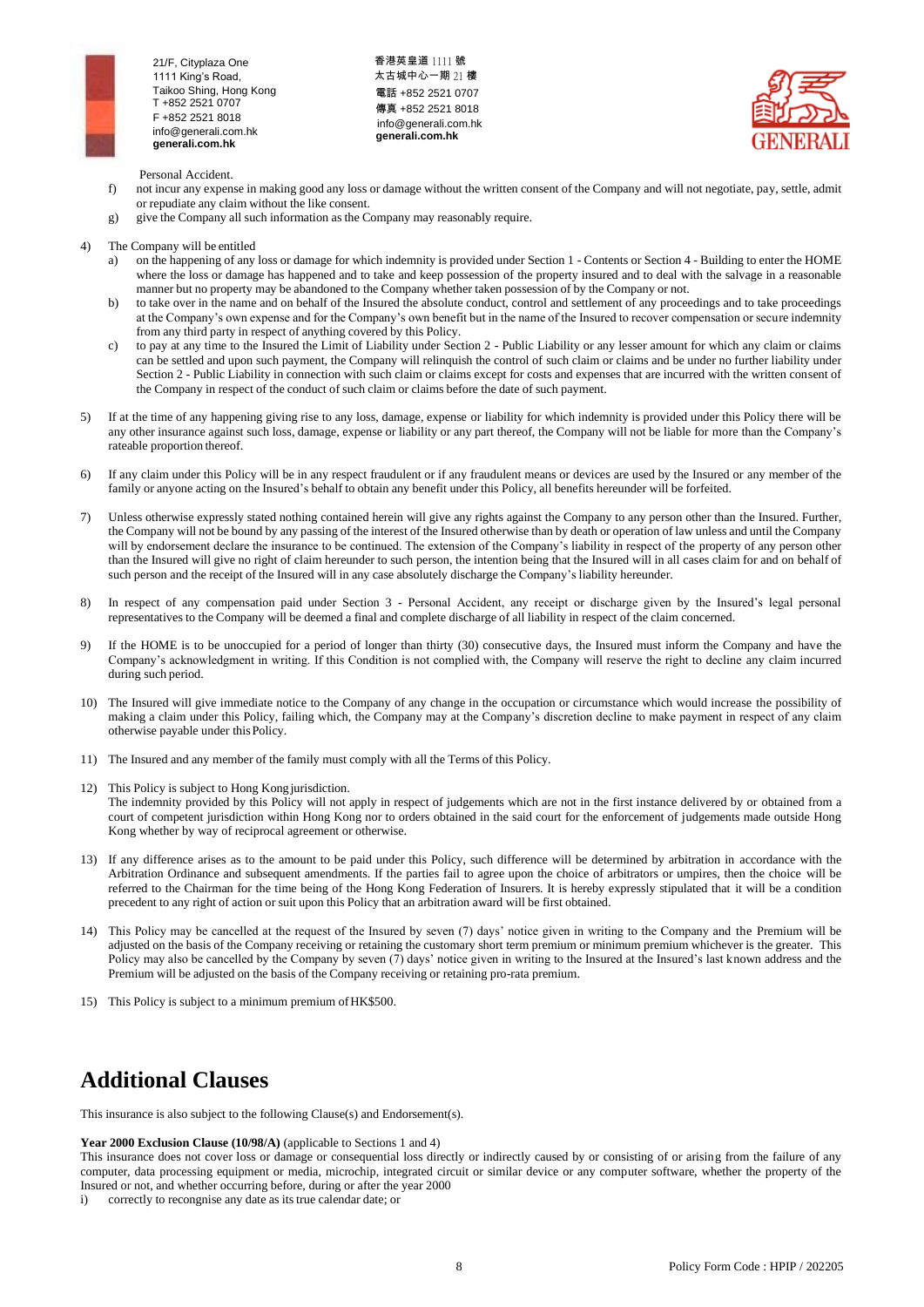

香港英皇道 1111 號 太古城中心一期 21 樓 電話 +852 2521 0707 傳真 +852 2521 8018 [info@generali.com.hk](mailto:info@generali.com.hk) **generali.com.hk**



Personal Accident.

- f) not incur any expense in making good any loss or damage without the written consent of the Company and will not negotiate, pay, settle, admit or repudiate any claim without the like consent.
- g) give the Company all such information as the Company may reasonably require.
- 4) The Company will be entitled
	- a) on the happening of any loss or damage for which indemnity is provided under Section 1 Contents or Section 4 Building to enter the HOME where the loss or damage has happened and to take and keep possession of the property insured and to deal with the salvage in a reasonable manner but no property may be abandoned to the Company whether taken possession of by the Company or not.
	- b) to take over in the name and on behalf of the Insured the absolute conduct, control and settlement of any proceedings and to take proceedings at the Company's own expense and for the Company's own benefit but in the name of the Insured to recover compensation or secure indemnity from any third party in respect of anything covered by this Policy.
	- c) to pay at any time to the Insured the Limit of Liability under Section 2 Public Liability or any lesser amount for which any claim or claims can be settled and upon such payment, the Company will relinquish the control of such claim or claims and be under no further liability under Section 2 - Public Liability in connection with such claim or claims except for costs and expenses that are incurred with the written consent of the Company in respect of the conduct of such claim or claims before the date of such payment.
- 5) If at the time of any happening giving rise to any loss, damage, expense or liability for which indemnity is provided under this Policy there will be any other insurance against such loss, damage, expense or liability or any part thereof, the Company will not be liable for more than the Company's rateable proportion thereof.
- 6) If any claim under this Policy will be in any respect fraudulent or if any fraudulent means or devices are used by the Insured or any member of the family or anyone acting on the Insured's behalf to obtain any benefit under this Policy, all benefits hereunder will be forfeited.
- 7) Unless otherwise expressly stated nothing contained herein will give any rights against the Company to any person other than the Insured. Further, the Company will not be bound by any passing of the interest of the Insured otherwise than by death or operation of law unless and until the Company will by endorsement declare the insurance to be continued. The extension of the Company's liability in respect of the property of any person other than the Insured will give no right of claim hereunder to such person, the intention being that the Insured will in all cases claim for and on behalf of such person and the receipt of the Insured will in any case absolutely discharge the Company's liability hereunder.
- 8) In respect of any compensation paid under Section 3 Personal Accident, any receipt or discharge given by the Insured's legal personal representatives to the Company will be deemed a final and complete discharge of all liability in respect of the claim concerned.
- 9) If the HOME is to be unoccupied for a period of longer than thirty (30) consecutive days, the Insured must inform the Company and have the Company's acknowledgment in writing. If this Condition is not complied with, the Company will reserve the right to decline any claim incurred during such period.
- 10) The Insured will give immediate notice to the Company of any change in the occupation or circumstance which would increase the possibility of making a claim under this Policy, failing which, the Company may at the Company's discretion decline to make payment in respect of any claim otherwise payable under thisPolicy.
- 11) The Insured and any member of the family must comply with all the Terms of this Policy.
- 12) This Policy is subject to Hong Kongjurisdiction. The indemnity provided by this Policy will not apply in respect of judgements which are not in the first instance delivered by or obtained from a court of competent jurisdiction within Hong Kong nor to orders obtained in the said court for the enforcement of judgements made outside Hong Kong whether by way of reciprocal agreement or otherwise.
- 13) If any difference arises as to the amount to be paid under this Policy, such difference will be determined by arbitration in accordance with the Arbitration Ordinance and subsequent amendments. If the parties fail to agree upon the choice of arbitrators or umpires, then the choice will be referred to the Chairman for the time being of the Hong Kong Federation of Insurers. It is hereby expressly stipulated that it will be a condition precedent to any right of action or suit upon this Policy that an arbitration award will be first obtained.
- 14) This Policy may be cancelled at the request of the Insured by seven (7) days' notice given in writing to the Company and the Premium will be adjusted on the basis of the Company receiving or retaining the customary short term premium or minimum premium whichever is the greater. This Policy may also be cancelled by the Company by seven (7) days' notice given in writing to the Insured at the Insured's last known address and the Premium will be adjusted on the basis of the Company receiving or retaining pro-rata premium.
- 15) This Policy is subject to a minimum premium ofHK\$500.

## **Additional Clauses**

This insurance is also subject to the following Clause(s) and Endorsement(s).

#### **Year 2000 Exclusion Clause (10/98/A)** (applicable to Sections 1 and 4)

This insurance does not cover loss or damage or consequential loss directly or indirectly caused by or consisting of or arising from the failure of any computer, data processing equipment or media, microchip, integrated circuit or similar device or any computer software, whether the property of the Insured or not, and whether occurring before, during or after the year 2000

i) correctly to recongnise any date as itstrue calendar date; or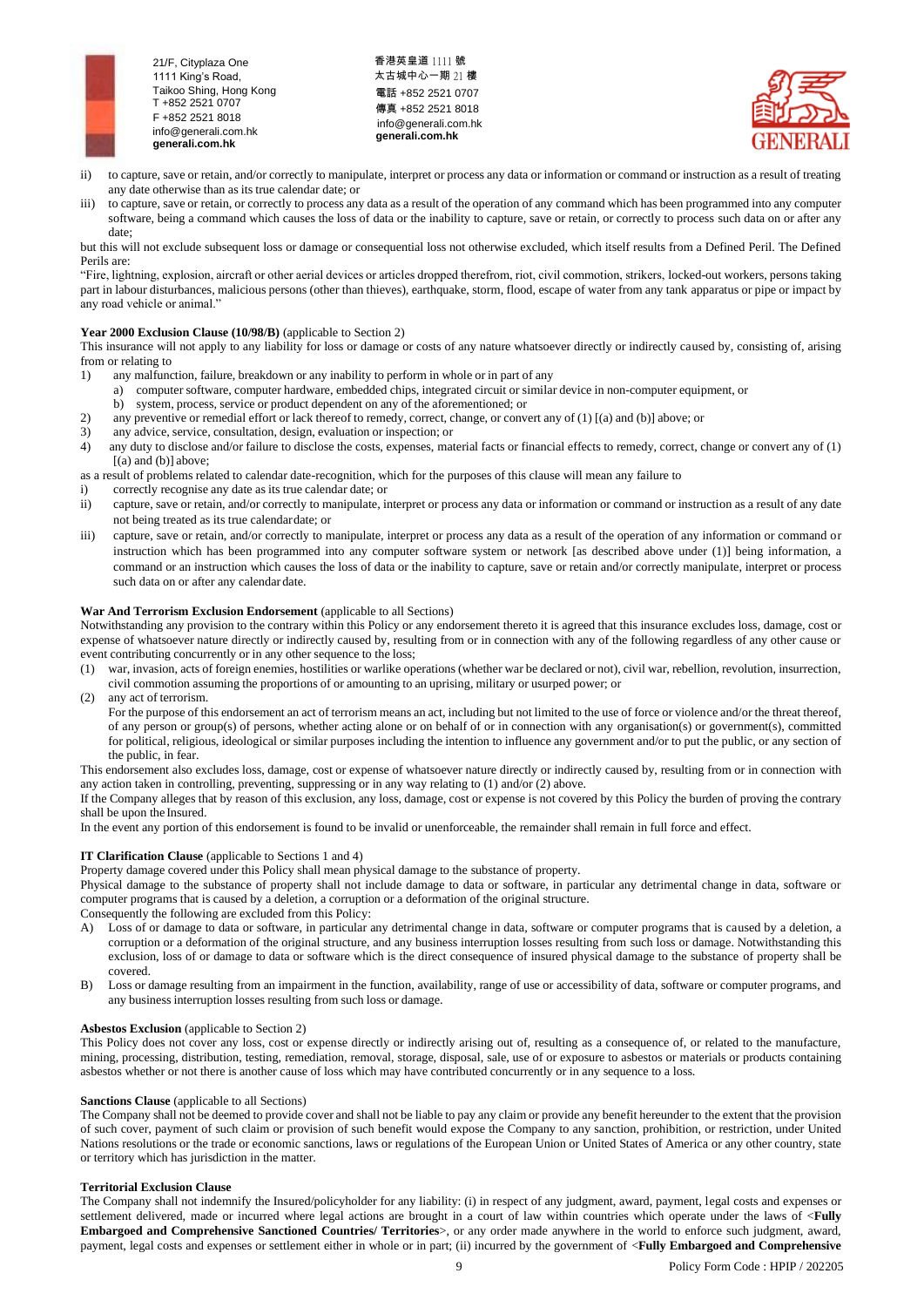

香港英皇道 1111 號 太古城中心一期 21 樓 電話 +852 2521 0707 傳真 +852 2521 8018 [info@generali.com.hk](mailto:info@generali.com.hk) **generali.com.hk**



- ii) to capture, save or retain, and/or correctly to manipulate, interpret or process any data or information or command or instruction as a result of treating any date otherwise than as itstrue calendar date; or
- iii) to capture, save or retain, or correctly to process any data as a result of the operation of any command which has been programmed into any computer software, being a command which causes the loss of data or the inability to capture, save or retain, or correctly to process such data on or after any date;

but this will not exclude subsequent loss or damage or consequential loss not otherwise excluded, which itself results from a Defined Peril. The Defined Perils are:

"Fire, lightning, explosion, aircraft or other aerial devices or articles dropped therefrom, riot, civil commotion, strikers, locked-out workers, persons taking part in labour disturbances, malicious persons (other than thieves), earthquake, storm, flood, escape of water from any tank apparatus or pipe or impact by any road vehicle or animal."

## **Year 2000 Exclusion Clause (10/98/B)** (applicable to Section 2)

This insurance will not apply to any liability for loss or damage or costs of any nature whatsoever directly or indirectly caused by, consisting of, arising from or relating to

- 1) any malfunction, failure, breakdown or any inability to perform in whole or in part of any
	- a) computer software, computer hardware, embedded chips, integrated circuit or similar device in non-computer equipment, or
- b) system, process, service or product dependent on any of the aforementioned; or 2) any preventive or remedial effort or lack thereof to remedy, correct, change, or convert any of (1) [(a) and (b)] above; or 3) any advice. service. consultation. design, evaluation or inspection; or
- any advice, service, consultation, design, evaluation or inspection; or
- 4) any duty to disclose and/or failure to disclose the costs, expenses, material facts or financial effects to remedy, correct, change or convert any of (1)  $[(a)$  and  $(b)]$  above;

as a result of problems related to calendar date-recognition, which for the purposes of this clause will mean any failure to

- i) correctly recognise any date as its true calendar date; or
- ii) capture, save or retain, and/or correctly to manipulate, interpret or process any data or information or command or instruction as a result of any date not being treated as its true calendardate; or
- iii) capture, save or retain, and/or correctly to manipulate, interpret or process any data as a result of the operation of any information or command or instruction which has been programmed into any computer software system or network [as described above under (1)] being information, a command or an instruction which causes the loss of data or the inability to capture, save or retain and/or correctly manipulate, interpret or process such data on or after any calendar date.

## **War And Terrorism Exclusion Endorsement** (applicable to all Sections)

Notwithstanding any provision to the contrary within this Policy or any endorsement thereto it is agreed that this insurance excludes loss, damage, cost or expense of whatsoever nature directly or indirectly caused by, resulting from or in connection with any of the following regardless of any other cause or event contributing concurrently or in any other sequence to the loss;

- (1) war, invasion, acts of foreign enemies, hostilities or warlike operations (whether war be declared or not), civil war, rebellion, revolution, insurrection,
- civil commotion assuming the proportions of or amounting to an uprising, military or usurped power; or
- (2) any act of terrorism.

For the purpose of this endorsement an act of terrorism means an act, including but not limited to the use of force or violence and/or the threat thereof, of any person or group(s) of persons, whether acting alone or on behalf of or in connection with any organisation(s) or government(s), committed for political, religious, ideological or similar purposes including the intention to influence any government and/or to put the public, or any section of the public, in fear.

This endorsement also excludes loss, damage, cost or expense of whatsoever nature directly or indirectly caused by, resulting from or in connection with any action taken in controlling, preventing, suppressing or in any way relating to (1) and/or (2) above.

If the Company alleges that by reason of this exclusion, any loss, damage, cost or expense is not covered by this Policy the burden of proving the contrary shall be upon the Insured.

In the event any portion of this endorsement is found to be invalid or unenforceable, the remainder shall remain in full force and effect.

## **IT Clarification Clause** (applicable to Sections 1 and 4)

Property damage covered under this Policy shall mean physical damage to the substance of property.

Physical damage to the substance of property shall not include damage to data or software, in particular any detrimental change in data, software or computer programs that is caused by a deletion, a corruption or a deformation of the original structure. Consequently the following are excluded from this Policy:

- A) Loss of or damage to data or software, in particular any detrimental change in data, software or computer programs that is caused by a deletion, a corruption or a deformation of the original structure, and any business interruption losses resulting from such loss or damage. Notwithstanding this exclusion, loss of or damage to data or software which is the direct consequence of insured physical damage to the substance of property shall be covered.
- B) Loss or damage resulting from an impairment in the function, availability, range of use or accessibility of data, software or computer programs, and any business interruption losses resulting from such loss or damage.

## **Asbestos Exclusion** (applicable to Section 2)

This Policy does not cover any loss, cost or expense directly or indirectly arising out of, resulting as a consequence of, or related to the manufacture, mining, processing, distribution, testing, remediation, removal, storage, disposal, sale, use of or exposure to asbestos or materials or products containing asbestos whether or not there is another cause of loss which may have contributed concurrently or in any sequence to a loss.

## **Sanctions Clause** (applicable to all Sections)

The Company shall not be deemed to provide cover and shall not be liable to pay any claim or provide any benefit hereunder to the extent that the provision of such cover, payment of such claim or provision of such benefit would expose the Company to any sanction, prohibition, or restriction, under United Nations resolutions or the trade or economic sanctions, laws or regulations of the European Union or United States of America or any other country, state or territory which has jurisdiction in the matter.

## **Territorial Exclusion Clause**

The Company shall not indemnify the Insured/policyholder for any liability: (i) in respect of any judgment, award, payment, legal costs and expenses or settlement delivered, made or incurred where legal actions are brought in a court of law within countries which operate under the laws of <**Fully Embargoed and Comprehensive Sanctioned Countries/ Territories**>, or any order made anywhere in the world to enforce such judgment, award, payment, legal costs and expenses or settlement either in whole or in part; (ii) incurred by the government of <**Fully Embargoed and Comprehensive**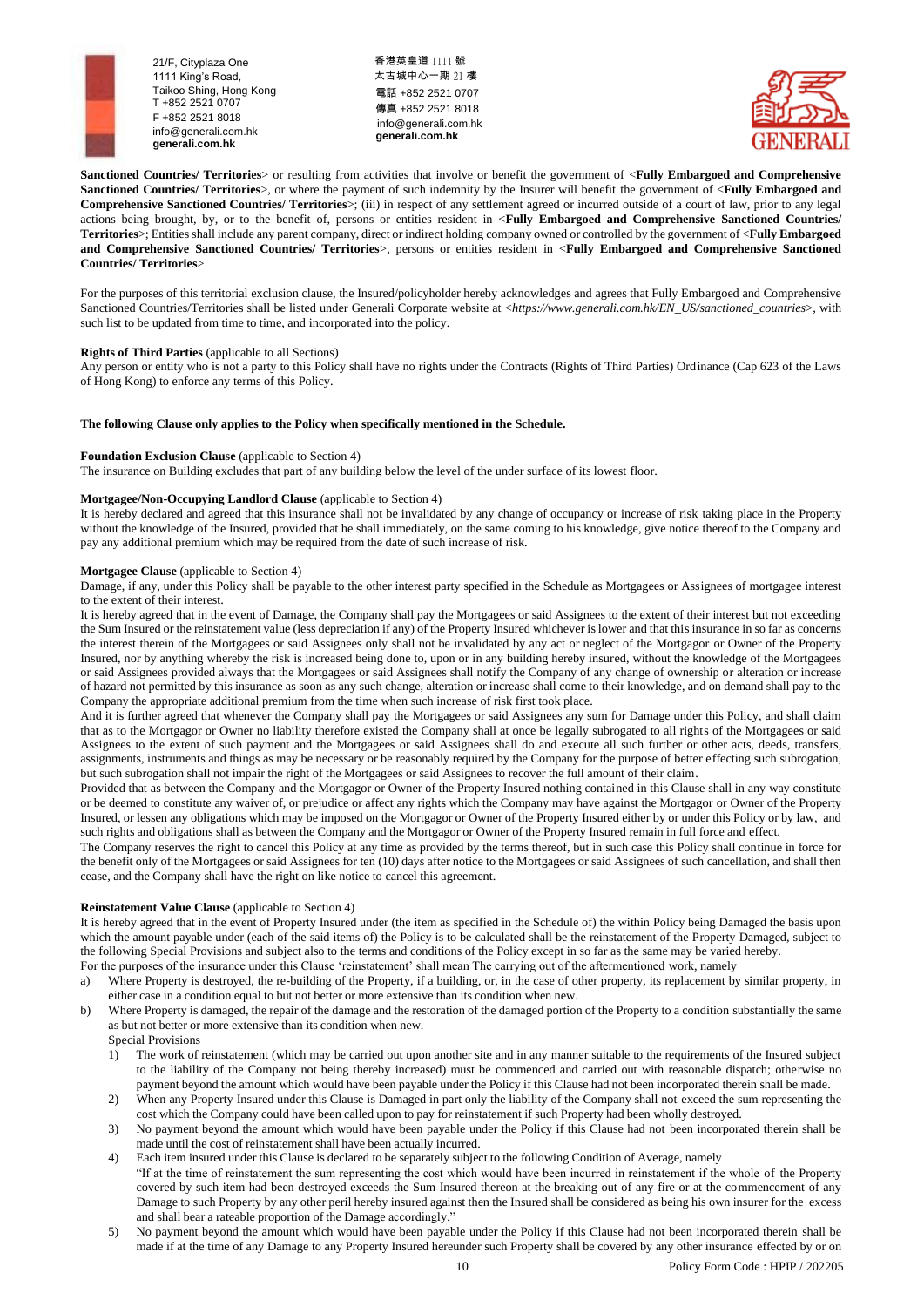

香港英皇道 1111 號 太古城中心一期 21 樓 電話 +852 2521 0707 傳真 +852 2521 8018 [info@generali.com.hk](mailto:info@generali.com.hk) **generali.com.hk**



**Sanctioned Countries/ Territories**> or resulting from activities that involve or benefit the government of <**Fully Embargoed and Comprehensive Sanctioned Countries/ Territories**>, or where the payment of such indemnity by the Insurer will benefit the government of <**Fully Embargoed and Comprehensive Sanctioned Countries/ Territories**>; (iii) in respect of any settlement agreed or incurred outside of a court of law, prior to any legal actions being brought, by, or to the benefit of, persons or entities resident in <**Fully Embargoed and Comprehensive Sanctioned Countries/ Territories**>; Entities shall include any parent company, direct or indirect holding company owned or controlled by the government of <**Fully Embargoed and Comprehensive Sanctioned Countries/ Territories**>, persons or entities resident in <**Fully Embargoed and Comprehensive Sanctioned Countries/ Territories**>.

For the purposes of this territorial exclusion clause, the Insured/policyholder hereby acknowledges and agrees that Fully Embargoed and Comprehensive Sanctioned Countries/Territories shall be listed under Generali Corporate website at <*https://www.generali.com.hk/EN\_US/sanctioned\_countries*>, with such list to be updated from time to time, and incorporated into the policy.

## **Rights of Third Parties** (applicable to all Sections)

Any person or entity who is not a party to this Policy shall have no rights under the Contracts (Rights of Third Parties) Ordinance (Cap 623 of the Laws of Hong Kong) to enforce any terms of this Policy.

### **The following Clause only applies to the Policy when specifically mentioned in the Schedule.**

### **Foundation Exclusion Clause** (applicable to Section 4)

The insurance on Building excludes that part of any building below the level of the under surface of its lowest floor.

## **Mortgagee/Non-Occupying Landlord Clause** (applicable to Section 4)

It is hereby declared and agreed that this insurance shall not be invalidated by any change of occupancy or increase of risk taking place in the Property without the knowledge of the Insured, provided that he shall immediately, on the same coming to his knowledge, give notice thereof to the Company and pay any additional premium which may be required from the date of such increase of risk.

### **Mortgagee Clause** (applicable to Section 4)

Damage, if any, under this Policy shall be payable to the other interest party specified in the Schedule as Mortgagees or Assignees of mortgagee interest to the extent of their interest.

It is hereby agreed that in the event of Damage, the Company shall pay the Mortgagees or said Assignees to the extent of their interest but not exceeding the Sum Insured or the reinstatement value (less depreciation if any) of the Property Insured whichever is lower and that this insurance in so far as concerns the interest therein of the Mortgagees or said Assignees only shall not be invalidated by any act or neglect of the Mortgagor or Owner of the Property Insured, nor by anything whereby the risk is increased being done to, upon or in any building hereby insured, without the knowledge of the Mortgagees or said Assignees provided always that the Mortgagees or said Assignees shall notify the Company of any change of ownership or alteration or increase of hazard not permitted by this insurance as soon as any such change, alteration or increase shall come to their knowledge, and on demand shall pay to the Company the appropriate additional premium from the time when such increase of risk first took place.

And it is further agreed that whenever the Company shall pay the Mortgagees or said Assignees any sum for Damage under this Policy, and shall claim that as to the Mortgagor or Owner no liability therefore existed the Company shall at once be legally subrogated to all rights of the Mortgagees or said Assignees to the extent of such payment and the Mortgagees or said Assignees shall do and execute all such further or other acts, deeds, transfers, assignments, instruments and things as may be necessary or be reasonably required by the Company for the purpose of better effecting such subrogation, but such subrogation shall not impair the right of the Mortgagees or said Assignees to recover the full amount of their claim.

Provided that as between the Company and the Mortgagor or Owner of the Property Insured nothing contained in this Clause shall in any way constitute or be deemed to constitute any waiver of, or prejudice or affect any rights which the Company may have against the Mortgagor or Owner of the Property Insured, or lessen any obligations which may be imposed on the Mortgagor or Owner of the Property Insured either by or under this Policy or by law, and such rights and obligations shall as between the Company and the Mortgagor or Owner of the Property Insured remain in full force and effect.

The Company reserves the right to cancel this Policy at any time as provided by the terms thereof, but in such case this Policy shall continue in force for the benefit only of the Mortgagees or said Assignees for ten (10) days after notice to the Mortgagees or said Assignees of such cancellation, and shall then cease, and the Company shall have the right on like notice to cancel this agreement.

## **Reinstatement Value Clause** (applicable to Section 4)

It is hereby agreed that in the event of Property Insured under (the item as specified in the Schedule of) the within Policy being Damaged the basis upon which the amount payable under (each of the said items of) the Policy is to be calculated shall be the reinstatement of the Property Damaged, subject to the following Special Provisions and subject also to the terms and conditions of the Policy except in so far as the same may be varied hereby. For the purposes of the insurance under this Clause 'reinstatement' shall mean The carrying out of the aftermentioned work, namely

- a) Where Property is destroyed, the re-building of the Property, if a building, or, in the case of other property, its replacement by similar property, in either case in a condition equal to but not better or more extensive than its condition when new.
- b) Where Property is damaged, the repair of the damage and the restoration of the damaged portion of the Property to a condition substantially the same as but not better or more extensive than its condition when new.

Special Provisions

- 1) The work of reinstatement (which may be carried out upon another site and in any manner suitable to the requirements of the Insured subject to the liability of the Company not being thereby increased) must be commenced and carried out with reasonable dispatch; otherwise no payment beyond the amount which would have been payable under the Policy if this Clause had not been incorporated therein shall be made.
- 2) When any Property Insured under this Clause is Damaged in part only the liability of the Company shall not exceed the sum representing the cost which the Company could have been called upon to pay for reinstatement if such Property had been wholly destroyed.
- 3) No payment beyond the amount which would have been payable under the Policy if this Clause had not been incorporated therein shall be made until the cost of reinstatement shall have been actually incurred.
- 4) Each item insured under this Clause is declared to be separately subject to the following Condition of Average, namely
	- "If at the time of reinstatement the sum representing the cost which would have been incurred in reinstatement if the whole of the Property covered by such item had been destroyed exceeds the Sum Insured thereon at the breaking out of any fire or at the commencement of any Damage to such Property by any other peril hereby insured against then the Insured shall be considered as being his own insurer for the excess and shall bear a rateable proportion of the Damage accordingly."
- 5) No payment beyond the amount which would have been payable under the Policy if this Clause had not been incorporated therein shall be made if at the time of any Damage to any Property Insured hereunder such Property shall be covered by any other insurance effected by or on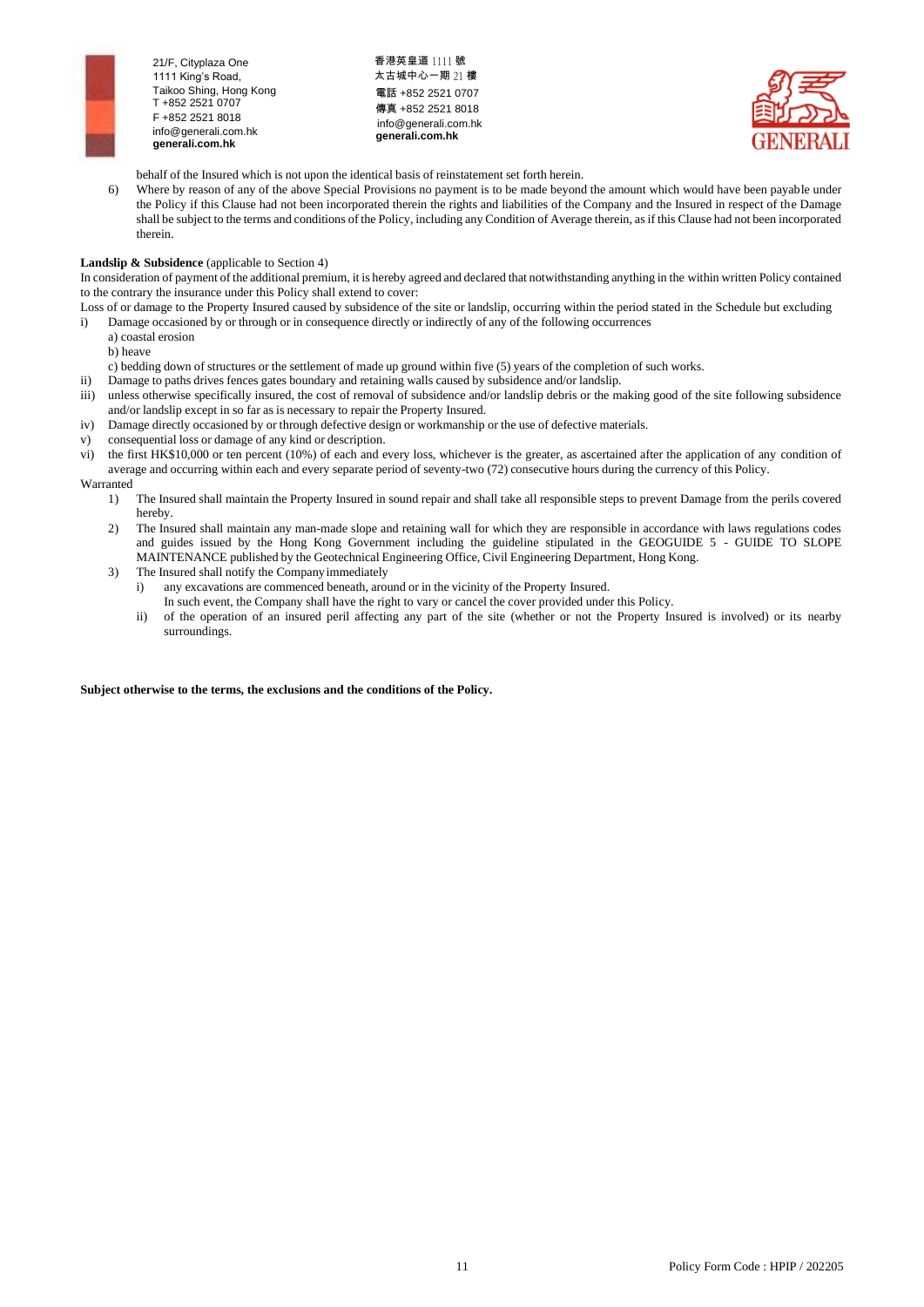

香港英皇道 1111 號 太古城中心一期 21 樓 電話 +852 2521 0707 傳真 +852 2521 8018 [info@generali.com.hk](mailto:info@generali.com.hk) **generali.com.hk**



behalf of the Insured which is not upon the identical basis of reinstatement set forth herein.

6) Where by reason of any of the above Special Provisions no payment is to be made beyond the amount which would have been payable under the Policy if this Clause had not been incorporated therein the rights and liabilities of the Company and the Insured in respect of the Damage shall be subject to the terms and conditions of the Policy, including any Condition of Average therein, asif this Clause had not been incorporated therein.

## **Landslip & Subsidence** (applicable to Section 4)

In consideration of payment of the additional premium, it is hereby agreed and declared that notwithstanding anything in the within written Policy contained to the contrary the insurance under this Policy shall extend to cover:

- Loss of or damage to the Property Insured caused by subsidence of the site or landslip, occurring within the period stated in the Schedule but excluding i) Damage occasioned by or through or in consequence directly or indirectly of any of the following occurrences
	- a) coastal erosion

b) heave

- c) bedding down of structures or the settlement of made up ground within five (5) years of the completion of such works.
- ii) Damage to paths drives fences gates boundary and retaining walls caused by subsidence and/or landslip.
- iii) unless otherwise specifically insured, the cost of removal of subsidence and/or landslip debris or the making good of the site following subsidence and/or landslip except in so far as is necessary to repair the Property Insured.
- iv) Damage directly occasioned by or through defective design or workmanship or the use of defective materials.
- v) consequential loss or damage of any kind or description.
- vi) the first HK\$10,000 or ten percent (10%) of each and every loss, whichever is the greater, as ascertained after the application of any condition of average and occurring within each and every separate period of seventy-two (72) consecutive hours during the currency of this Policy.

Warranted

- 1) The Insured shall maintain the Property Insured in sound repair and shall take all responsible steps to prevent Damage from the perils covered hereby.
- 2) The Insured shall maintain any man-made slope and retaining wall for which they are responsible in accordance with laws regulations codes and guides issued by the Hong Kong Government including the guideline stipulated in the GEOGUIDE 5 - GUIDE TO SLOPE MAINTENANCE published by the Geotechnical Engineering Office, Civil Engineering Department, Hong Kong.
- 3) The Insured shall notify the Companyimmediately
	- i) any excavations are commenced beneath, around or in the vicinity of the Property Insured.
	- In such event, the Company shall have the right to vary or cancel the cover provided under this Policy.
	- ii) of the operation of an insured peril affecting any part of the site (whether or not the Property Insured is involved) or its nearby surroundings.

## **Subject otherwise to the terms, the exclusions and the conditions of the Policy.**